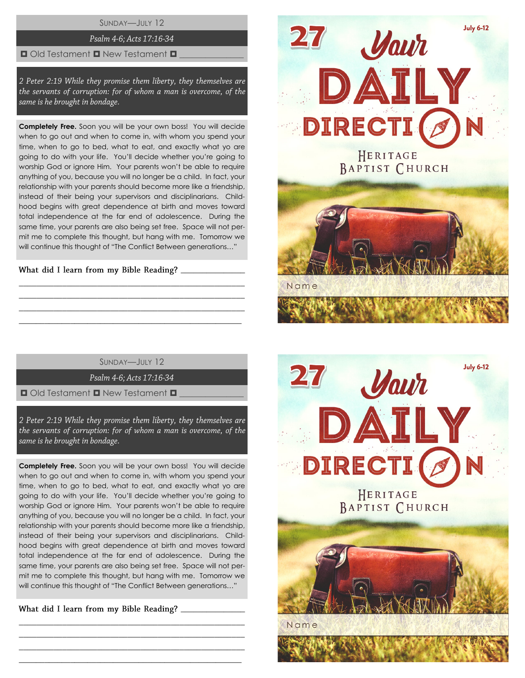SUNDAY—JULY 12

## Psalm 4-6; Acts 17:16-34

#### $\Box$  Old Testament  $\Box$  New Testament  $\Box$

2 Peter 2:19 While they promise them liberty, they themselves are the servants of corruption: for of whom a man is overcome, of the same is he brought in bondage.

**Completely Free.** Soon you will be your own boss! You will decide when to go out and when to come in, with whom you spend your time, when to go to bed, what to eat, and exactly what yo are going to do with your life. You'll decide whether you're going to worship God or ignore Him. Your parents won't be able to require anything of you, because you will no longer be a child. In fact, your relationship with your parents should become more like a friendship, instead of their being your supervisors and disciplinarians. Childhood begins with great dependence at birth and moves toward total independence at the far end of adolescence. During the same time, your parents are also being set free. Space will not permit me to complete this thought, but hang with me. Tomorrow we will continue this thought of "The Conflict Between generations…"

 $\overline{\phantom{a}}$  , we can also the contract of  $\overline{\phantom{a}}$ 

 $\overline{\phantom{a}}$  , we can also the contract of  $\overline{\phantom{a}}$ 

SUNDAY—JULY 12

\_\_\_\_\_\_\_\_\_\_\_\_\_\_\_\_\_\_\_\_\_\_\_\_\_\_\_\_\_\_\_\_\_\_\_\_\_\_\_\_\_\_\_\_\_\_\_\_\_\_\_\_ \_\_\_\_\_\_\_\_\_\_\_\_\_\_\_\_\_\_\_\_\_\_\_\_\_\_\_\_\_\_\_\_\_\_\_\_\_\_\_\_\_\_\_\_\_\_\_\_\_\_\_\_ \_\_\_\_\_\_\_\_\_\_\_\_\_\_\_\_\_\_\_\_\_\_\_\_\_\_\_\_\_\_\_\_\_\_\_\_\_\_\_\_\_\_\_\_\_\_\_\_\_\_\_\_  $\_$  , and the set of the set of the set of the set of the set of the set of the set of the set of the set of the set of the set of the set of the set of the set of the set of the set of the set of the set of the set of th

Psalm 4-6; Acts 17:16-34

 $\Box$  Old Testament  $\Box$  New Testament  $\Box$ 

2 Peter 2:19 While they promise them liberty, they themselves are the servants of corruption: for of whom a man is overcome, of the same is he brought in bondage.

**Completely Free.** Soon you will be your own boss! You will decide when to go out and when to come in, with whom you spend your time, when to go to bed, what to eat, and exactly what yo are going to do with your life. You'll decide whether you're going to worship God or ignore Him. Your parents won't be able to require anything of you, because you will no longer be a child. In fact, your relationship with your parents should become more like a friendship, instead of their being your supervisors and disciplinarians. Childhood begins with great dependence at birth and moves toward total independence at the far end of adolescence. During the same time, your parents are also being set free. Space will not permit me to complete this thought, but hang with me. Tomorrow we will continue this thought of "The Conflict Between generations…"

\_\_\_\_\_\_\_\_\_\_\_\_\_\_\_\_\_\_\_\_\_\_\_\_\_\_\_\_\_\_\_\_\_\_\_\_\_\_\_\_\_\_\_\_\_\_\_\_\_\_\_\_ \_\_\_\_\_\_\_\_\_\_\_\_\_\_\_\_\_\_\_\_\_\_\_\_\_\_\_\_\_\_\_\_\_\_\_\_\_\_\_\_\_\_\_\_\_\_\_\_\_\_\_\_ \_\_\_\_\_\_\_\_\_\_\_\_\_\_\_\_\_\_\_\_\_\_\_\_\_\_\_\_\_\_\_\_\_\_\_\_\_\_\_\_\_\_\_\_\_\_\_\_\_\_\_\_  $\_$  , and the set of the set of the set of the set of the set of the set of the set of the set of the set of the set of the set of the set of the set of the set of the set of the set of the set of the set of the set of th



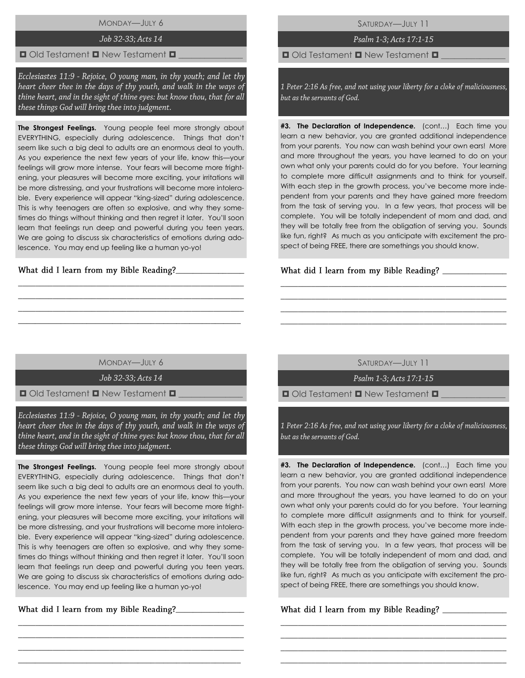# MONDAY—JULY 6

#### Job 32-33; Acts 14

## $\Box$  Old Testament  $\Box$  New Testament  $\Box$

Ecclesiastes 11:9 - Rejoice, O young man, in thy youth; and let thy heart cheer thee in the days of thy youth, and walk in the ways of thine heart, and in the sight of thine eyes: but know thou, that for all these things God will bring thee into judgment.

**The Strongest Feelings.** Young people feel more strongly about EVERYTHING, especially during adolescence. Things that don't seem like such a big deal to adults are an enormous deal to youth. As you experience the next few years of your life, know this—your feelings will grow more intense. Your fears will become more frightening, your pleasures will become more exciting, your irritations will be more distressing, and your frustrations will become more intolerable. Every experience will appear "king-sized" during adolescence. This is why teenagers are often so explosive, and why they sometimes do things without thinking and then regret it later. You'll soon learn that feelings run deep and powerful during you teen years. We are going to discuss six characteristics of emotions during adolescence. You may end up feeling like a human yo-yo!

## What did I learn from my Bible Reading?\_\_\_

SATURDAY—JULY 11

Psalm 1-3; Acts 17:1-15

 $\Box$  Old Testament  $\Box$  New Testament  $\Box$ 

1 Peter 2:16 As free, and not using your liberty for a cloke of maliciousness, but as the servants of God.

**#3. The Declaration of Independence.** (cont…) Each time you learn a new behavior, you are granted additional independence from your parents. You now can wash behind your own ears! More and more throughout the years, you have learned to do on your own what only your parents could do for you before. Your learning to complete more difficult assignments and to think for yourself. With each step in the growth process, you've become more independent from your parents and they have gained more freedom from the task of serving you. In a few years, that process will be complete. You will be totally independent of mom and dad, and they will be totally free from the obligation of serving you. Sounds like fun, right? As much as you anticipate with excitement the prospect of being FREE, there are somethings you should know.

## What did I learn from my Bible Reading?

MONDAY—JULY 6

\_\_\_\_\_\_\_\_\_\_\_\_\_\_\_\_\_\_\_\_\_\_\_\_\_\_\_\_\_\_\_\_\_\_\_\_\_\_\_\_\_\_\_\_\_\_\_\_\_\_\_\_ \_\_\_\_\_\_\_\_\_\_\_\_\_\_\_\_\_\_\_\_\_\_\_\_\_\_\_\_\_\_\_\_\_\_\_\_\_\_\_\_\_\_\_\_\_\_\_\_\_\_\_\_ \_\_\_\_\_\_\_\_\_\_\_\_\_\_\_\_\_\_\_\_\_\_\_\_\_\_\_\_\_\_\_\_\_\_\_\_\_\_\_\_\_\_\_\_\_\_\_\_\_\_\_\_ \_\_\_\_\_\_\_\_\_\_\_\_\_\_\_\_\_\_\_\_\_\_\_\_\_\_\_\_\_\_\_\_\_\_\_\_\_\_\_\_\_\_\_\_\_\_\_\_\_\_\_\_

Job 32-33; Acts 14

 $\Box$  Old Testament  $\Box$  New Testament  $\Box$ 

Ecclesiastes 11:9 - Rejoice, O young man, in thy youth; and let thy heart cheer thee in the days of thy youth, and walk in the ways of thine heart, and in the sight of thine eyes: but know thou, that for all these things God will bring thee into judgment.

**The Strongest Feelings.** Young people feel more strongly about EVERYTHING, especially during adolescence. Things that don't seem like such a big deal to adults are an enormous deal to youth. As you experience the next few years of your life, know this—your feelings will grow more intense. Your fears will become more frightening, your pleasures will become more exciting, your irritations will be more distressing, and your frustrations will become more intolerable. Every experience will appear "king-sized" during adolescence. This is why teenagers are often so explosive, and why they sometimes do things without thinking and then regret it later. You'll soon learn that feelings run deep and powerful during you teen years. We are going to discuss six characteristics of emotions during adolescence. You may end up feeling like a human yo-yo!

\_\_\_\_\_\_\_\_\_\_\_\_\_\_\_\_\_\_\_\_\_\_\_\_\_\_\_\_\_\_\_\_\_\_\_\_\_\_\_\_\_\_\_\_\_\_\_\_\_\_\_\_ \_\_\_\_\_\_\_\_\_\_\_\_\_\_\_\_\_\_\_\_\_\_\_\_\_\_\_\_\_\_\_\_\_\_\_\_\_\_\_\_\_\_\_\_\_\_\_\_\_\_\_\_ \_\_\_\_\_\_\_\_\_\_\_\_\_\_\_\_\_\_\_\_\_\_\_\_\_\_\_\_\_\_\_\_\_\_\_\_\_\_\_\_\_\_\_\_\_\_\_\_\_\_\_\_ \_\_\_\_\_\_\_\_\_\_\_\_\_\_\_\_\_\_\_\_\_\_\_\_\_\_\_\_\_\_\_\_\_\_\_\_\_\_\_\_\_\_\_\_\_\_\_\_\_\_\_\_

\_\_\_\_\_\_\_\_\_\_\_\_\_\_\_\_

SATURDAY—JULY 11

\_\_\_\_\_\_\_\_\_\_\_\_\_\_\_\_\_\_\_\_\_\_\_\_\_\_\_\_\_\_\_\_\_\_\_\_\_\_\_\_\_\_\_\_\_\_\_\_\_\_\_\_ \_\_\_\_\_\_\_\_\_\_\_\_\_\_\_\_\_\_\_\_\_\_\_\_\_\_\_\_\_\_\_\_\_\_\_\_\_\_\_\_\_\_\_\_\_\_\_\_\_\_\_\_ \_\_\_\_\_\_\_\_\_\_\_\_\_\_\_\_\_\_\_\_\_\_\_\_\_\_\_\_\_\_\_\_\_\_\_\_\_\_\_\_\_\_\_\_\_\_\_\_\_\_\_\_ \_\_\_\_\_\_\_\_\_\_\_\_\_\_\_\_\_\_\_\_\_\_\_\_\_\_\_\_\_\_\_\_\_\_\_\_\_\_\_\_\_\_\_\_\_\_\_\_\_\_\_\_

Psalm 1-3; Acts 17:1-15

 $\blacksquare$  Old Testament  $\blacksquare$  New Testament  $\blacksquare$ 

1 Peter 2:16 As free, and not using your liberty for a cloke of maliciousness, but as the servants of God.

**#3. The Declaration of Independence.** (cont…) Each time you learn a new behavior, you are granted additional independence from your parents. You now can wash behind your own ears! More and more throughout the years, you have learned to do on your own what only your parents could do for you before. Your learning to complete more difficult assignments and to think for yourself. With each step in the growth process, you've become more independent from your parents and they have gained more freedom from the task of serving you. In a few years, that process will be complete. You will be totally independent of mom and dad, and they will be totally free from the obligation of serving you. Sounds like fun, right? As much as you anticipate with excitement the prospect of being FREE, there are somethings you should know.

\_\_\_\_\_\_\_\_\_\_\_\_\_\_\_\_\_\_\_\_\_\_\_\_\_\_\_\_\_\_\_\_\_\_\_\_\_\_\_\_\_\_\_\_\_\_\_\_\_\_\_\_ \_\_\_\_\_\_\_\_\_\_\_\_\_\_\_\_\_\_\_\_\_\_\_\_\_\_\_\_\_\_\_\_\_\_\_\_\_\_\_\_\_\_\_\_\_\_\_\_\_\_\_\_ \_\_\_\_\_\_\_\_\_\_\_\_\_\_\_\_\_\_\_\_\_\_\_\_\_\_\_\_\_\_\_\_\_\_\_\_\_\_\_\_\_\_\_\_\_\_\_\_\_\_\_\_ \_\_\_\_\_\_\_\_\_\_\_\_\_\_\_\_\_\_\_\_\_\_\_\_\_\_\_\_\_\_\_\_\_\_\_\_\_\_\_\_\_\_\_\_\_\_\_\_\_\_\_\_

\_\_\_\_\_\_\_\_\_\_\_\_\_\_\_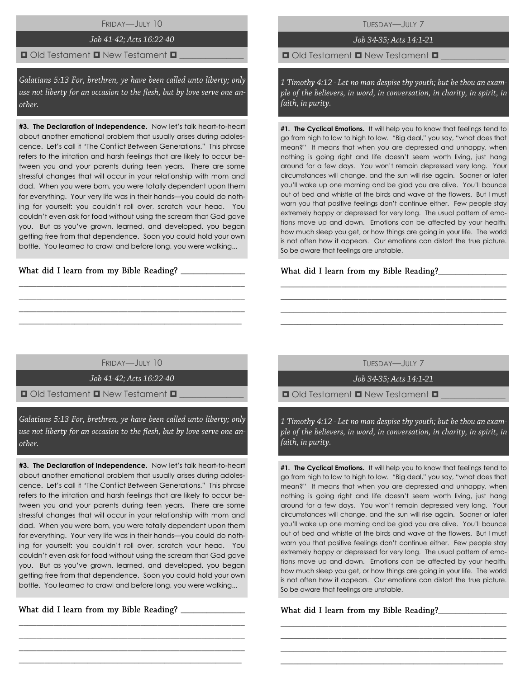FRIDAY—JULY 10

## Job 41-42; Acts 16:22-40

## $\blacksquare$  Old Testament  $\blacksquare$  New Testament  $\blacksquare$

Galatians 5:13 For, brethren, ye have been called unto liberty; only use not liberty for an occasion to the flesh, but by love serve one another.

**#3. The Declaration of Independence.** Now let's talk heart-to-heart about another emotional problem that usually arises during adolescence. Let's call it "The Conflict Between Generations." This phrase refers to the irritation and harsh feelings that are likely to occur between you and your parents during teen years. There are some stressful changes that will occur in your relationship with mom and dad. When you were born, you were totally dependent upon them for everything. Your very life was in their hands—you could do nothing for yourself: you couldn't roll over, scratch your head. You couldn't even ask for food without using the scream that God gave you. But as you've grown, learned, and developed, you began getting free from that dependence. Soon you could hold your own bottle. You learned to crawl and before long, you were walking...

What did I learn from my Bible Reading?

TUESDAY—JULY 7

Job 34-35; Acts 14:1-21

 $\Box$  Old Testament  $\Box$  New Testament  $\Box$ 

1 Timothy 4:12 - Let no man despise thy youth; but be thou an example of the believers, in word, in conversation, in charity, in spirit, in faith, in purity.

**#1. The Cyclical Emotions.** It will help you to know that feelings tend to go from high to low to high to low. "Big deal," you say, "what does that mean?" It means that when you are depressed and unhappy, when nothing is going right and life doesn't seem worth living, just hang around for a few days. You won't remain depressed very long. Your circumstances will change, and the sun will rise again. Sooner or later you'll wake up one morning and be glad you are alive. You'll bounce out of bed and whistle at the birds and wave at the flowers. But I must warn you that positive feelings don't continue either. Few people stay extremely happy or depressed for very long. The usual pattern of emotions move up and down. Emotions can be affected by your health, how much sleep you get, or how things are going in your life. The world is not often how it appears. Our emotions can distort the true picture. So be aware that feelings are unstable.

## **\_**\_\_\_\_\_\_\_\_\_\_\_\_\_\_\_

FRIDAY—JULY 10

\_\_\_\_\_\_\_\_\_\_\_\_\_\_\_\_\_\_\_\_\_\_\_\_\_\_\_\_\_\_\_\_\_\_\_\_\_\_\_\_\_\_\_\_\_\_\_\_\_\_\_\_ \_\_\_\_\_\_\_\_\_\_\_\_\_\_\_\_\_\_\_\_\_\_\_\_\_\_\_\_\_\_\_\_\_\_\_\_\_\_\_\_\_\_\_\_\_\_\_\_\_\_\_\_ \_\_\_\_\_\_\_\_\_\_\_\_\_\_\_\_\_\_\_\_\_\_\_\_\_\_\_\_\_\_\_\_\_\_\_\_\_\_\_\_\_\_\_\_\_\_\_\_\_\_\_\_  $\_$  , and the set of the set of the set of the set of the set of the set of the set of the set of the set of the set of the set of the set of the set of the set of the set of the set of the set of the set of the set of th

Job 41-42; Acts 16:22-40

 $\blacksquare$  Old Testament  $\blacksquare$  New Testament  $\blacksquare$ 

Galatians 5:13 For, brethren, ye have been called unto liberty; only use not liberty for an occasion to the flesh, but by love serve one another.

**#3. The Declaration of Independence.** Now let's talk heart-to-heart about another emotional problem that usually arises during adolescence. Let's call it "The Conflict Between Generations." This phrase refers to the irritation and harsh feelings that are likely to occur between you and your parents during teen years. There are some stressful changes that will occur in your relationship with mom and dad. When you were born, you were totally dependent upon them for everything. Your very life was in their hands—you could do nothing for yourself: you couldn't roll over, scratch your head. You couldn't even ask for food without using the scream that God gave you. But as you've grown, learned, and developed, you began getting free from that dependence. Soon you could hold your own bottle. You learned to crawl and before long, you were walking...

\_\_\_\_\_\_\_\_\_\_\_\_\_\_\_\_\_\_\_\_\_\_\_\_\_\_\_\_\_\_\_\_\_\_\_\_\_\_\_\_\_\_\_\_\_\_\_\_\_\_\_\_ \_\_\_\_\_\_\_\_\_\_\_\_\_\_\_\_\_\_\_\_\_\_\_\_\_\_\_\_\_\_\_\_\_\_\_\_\_\_\_\_\_\_\_\_\_\_\_\_\_\_\_\_ \_\_\_\_\_\_\_\_\_\_\_\_\_\_\_\_\_\_\_\_\_\_\_\_\_\_\_\_\_\_\_\_\_\_\_\_\_\_\_\_\_\_\_\_\_\_\_\_\_\_\_\_  $\_$  , and the set of the set of the set of the set of the set of the set of the set of the set of the set of the set of the set of the set of the set of the set of the set of the set of the set of the set of the set of th

\_\_\_\_\_\_\_\_\_\_\_\_\_\_\_

TUESDAY—JULY 7

\_\_\_\_\_\_\_\_\_\_\_\_\_\_\_\_\_\_\_\_\_\_\_\_\_\_\_\_\_\_\_\_\_\_\_\_\_\_\_\_\_\_\_\_\_\_\_\_\_\_\_\_ \_\_\_\_\_\_\_\_\_\_\_\_\_\_\_\_\_\_\_\_\_\_\_\_\_\_\_\_\_\_\_\_\_\_\_\_\_\_\_\_\_\_\_\_\_\_\_\_\_\_\_\_ \_\_\_\_\_\_\_\_\_\_\_\_\_\_\_\_\_\_\_\_\_\_\_\_\_\_\_\_\_\_\_\_\_\_\_\_\_\_\_\_\_\_\_\_\_\_\_\_\_\_\_\_ \_\_\_\_\_\_\_\_\_\_\_\_\_\_\_\_\_\_\_\_\_\_\_\_\_\_\_\_\_\_\_\_\_\_\_\_\_\_\_\_\_\_\_\_\_\_\_\_\_\_\_\_

Job 34-35; Acts 14:1-21

 $\Box$  Old Testament  $\Box$  New Testament  $\Box$ 

1 Timothy 4:12 - Let no man despise thy youth; but be thou an example of the believers, in word, in conversation, in charity, in spirit, in faith, in purity.

**#1. The Cyclical Emotions.** It will help you to know that feelings tend to go from high to low to high to low. "Big deal," you say, "what does that mean?" It means that when you are depressed and unhappy, when nothing is going right and life doesn't seem worth living, just hang around for a few days. You won't remain depressed very long. Your circumstances will change, and the sun will rise again. Sooner or later you'll wake up one morning and be glad you are alive. You'll bounce out of bed and whistle at the birds and wave at the flowers. But I must warn you that positive feelings don't continue either. Few people stay extremely happy or depressed for very long. The usual pattern of emotions move up and down. Emotions can be affected by your health, how much sleep you get, or how things are going in your life. The world is not often how it appears. Our emotions can distort the true picture. So be aware that feelings are unstable.

\_\_\_\_\_\_\_\_\_\_\_\_\_\_\_\_\_\_\_\_\_\_\_\_\_\_\_\_\_\_\_\_\_\_\_\_\_\_\_\_\_\_\_\_\_\_\_\_\_\_\_\_ \_\_\_\_\_\_\_\_\_\_\_\_\_\_\_\_\_\_\_\_\_\_\_\_\_\_\_\_\_\_\_\_\_\_\_\_\_\_\_\_\_\_\_\_\_\_\_\_\_\_\_\_ \_\_\_\_\_\_\_\_\_\_\_\_\_\_\_\_\_\_\_\_\_\_\_\_\_\_\_\_\_\_\_\_\_\_\_\_\_\_\_\_\_\_\_\_\_\_\_\_\_\_\_\_ \_\_\_\_\_\_\_\_\_\_\_\_\_\_\_\_\_\_\_\_\_\_\_\_\_\_\_\_\_\_\_\_\_\_\_\_\_\_\_\_\_\_\_\_\_\_\_\_\_\_\_\_

## What did I learn from my Bible Reading?